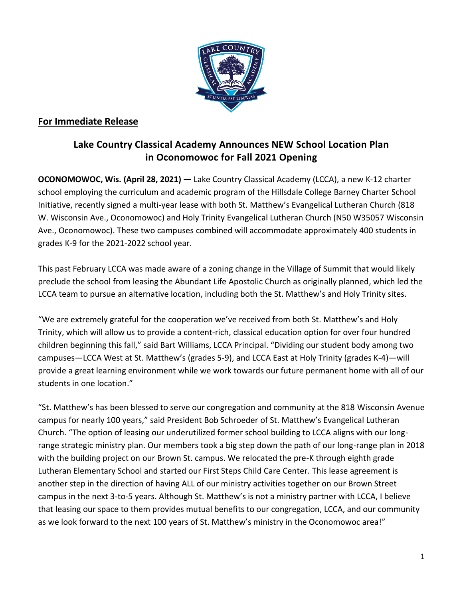

## **For Immediate Release**

## **Lake Country Classical Academy Announces NEW School Location Plan in Oconomowoc for Fall 2021 Opening**

**OCONOMOWOC, Wis. (April 28, 2021) —** Lake Country Classical Academy (LCCA), a new K-12 charter school employing the curriculum and academic program of the Hillsdale College Barney Charter School Initiative, recently signed a multi-year lease with both St. Matthew's Evangelical Lutheran Church (818 W. Wisconsin Ave., Oconomowoc) and Holy Trinity Evangelical Lutheran Church (N50 W35057 Wisconsin Ave., Oconomowoc). These two campuses combined will accommodate approximately 400 students in grades K-9 for the 2021-2022 school year.

This past February LCCA was made aware of a zoning change in the Village of Summit that would likely preclude the school from leasing the Abundant Life Apostolic Church as originally planned, which led the LCCA team to pursue an alternative location, including both the St. Matthew's and Holy Trinity sites.

"We are extremely grateful for the cooperation we've received from both St. Matthew's and Holy Trinity, which will allow us to provide a content-rich, classical education option for over four hundred children beginning this fall," said Bart Williams, LCCA Principal. "Dividing our student body among two campuses—LCCA West at St. Matthew's (grades 5-9), and LCCA East at Holy Trinity (grades K-4)—will provide a great learning environment while we work towards our future permanent home with all of our students in one location."

"St. Matthew's has been blessed to serve our congregation and community at the 818 Wisconsin Avenue campus for nearly 100 years," said President Bob Schroeder of St. Matthew's Evangelical Lutheran Church. "The option of leasing our underutilized former school building to LCCA aligns with our longrange strategic ministry plan. Our members took a big step down the path of our long-range plan in 2018 with the building project on our Brown St. campus. We relocated the pre-K through eighth grade Lutheran Elementary School and started our First Steps Child Care Center. This lease agreement is another step in the direction of having ALL of our ministry activities together on our Brown Street campus in the next 3-to-5 years. Although St. Matthew's is not a ministry partner with LCCA, I believe that leasing our space to them provides mutual benefits to our congregation, LCCA, and our community as we look forward to the next 100 years of St. Matthew's ministry in the Oconomowoc area!"